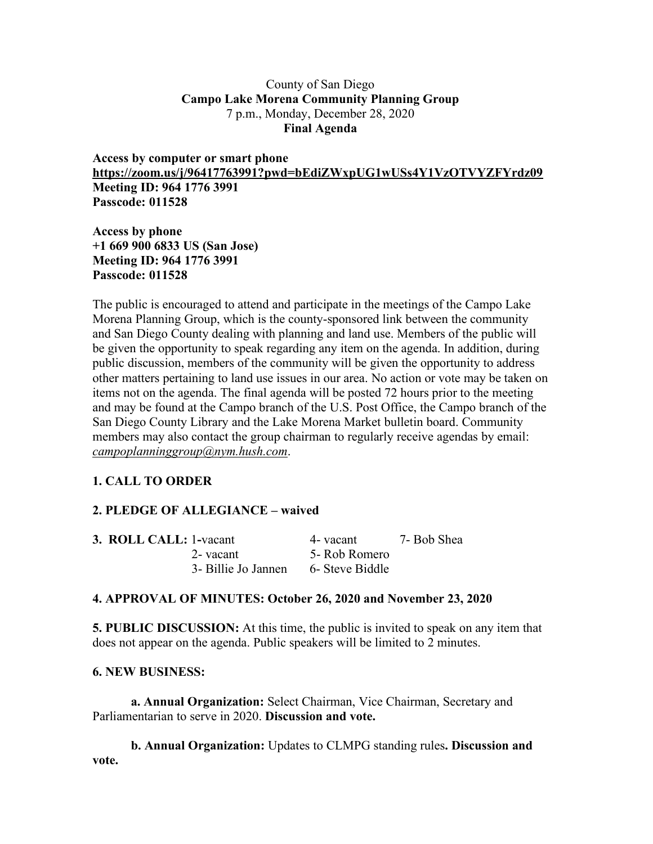### County of San Diego **Campo Lake Morena Community Planning Group** 7 p.m., Monday, December 28, 2020 **Final Agenda**

**Access by computer or smart phone https://zoom.us/j/96417763991?pwd=bEdiZWxpUG1wUSs4Y1VzOTVYZFYrdz09 Meeting ID: 964 1776 3991 Passcode: 011528**

**Access by phone +1 669 900 6833 US (San Jose) Meeting ID: 964 1776 3991 Passcode: 011528**

The public is encouraged to attend and participate in the meetings of the Campo Lake Morena Planning Group, which is the county-sponsored link between the community and San Diego County dealing with planning and land use. Members of the public will be given the opportunity to speak regarding any item on the agenda. In addition, during public discussion, members of the community will be given the opportunity to address other matters pertaining to land use issues in our area. No action or vote may be taken on items not on the agenda. The final agenda will be posted 72 hours prior to the meeting and may be found at the Campo branch of the U.S. Post Office, the Campo branch of the San Diego County Library and the Lake Morena Market bulletin board. Community members may also contact the group chairman to regularly receive agendas by email: *campoplanninggroup@nym.hush.com*.

# **1. CALL TO ORDER**

# **2. PLEDGE OF ALLEGIANCE – waived**

| <b>3. ROLL CALL: 1-vacant</b> |                     | 4- vacant       | 7- Bob Shea |
|-------------------------------|---------------------|-----------------|-------------|
|                               | 2-vacant            | 5- Rob Romero   |             |
|                               | 3- Billie Jo Jannen | 6- Steve Biddle |             |

## **4. APPROVAL OF MINUTES: October 26, 2020 and November 23, 2020**

**5. PUBLIC DISCUSSION:** At this time, the public is invited to speak on any item that does not appear on the agenda. Public speakers will be limited to 2 minutes.

#### **6. NEW BUSINESS:**

**a. Annual Organization:** Select Chairman, Vice Chairman, Secretary and Parliamentarian to serve in 2020. **Discussion and vote.**

**b. Annual Organization:** Updates to CLMPG standing rules**. Discussion and vote.**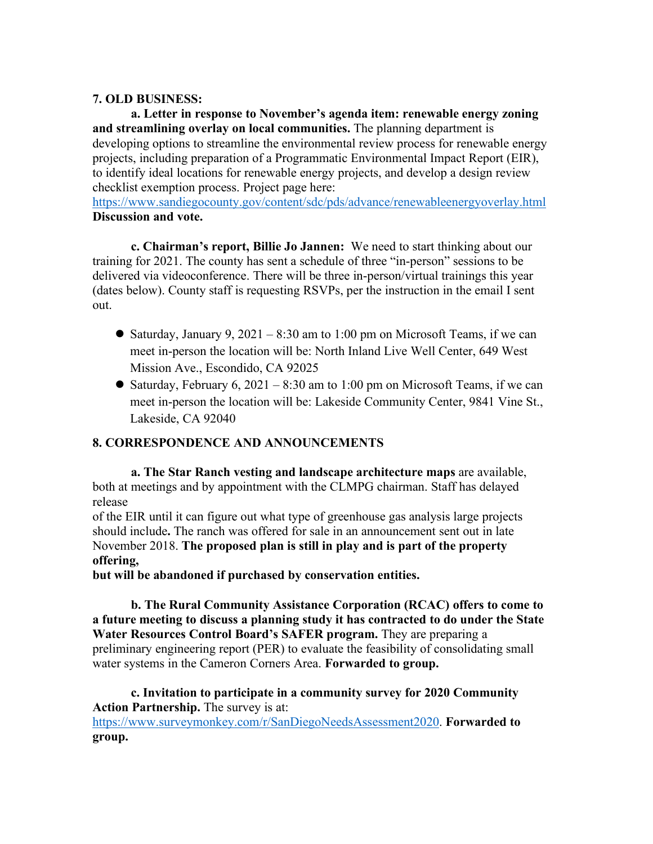### **7. OLD BUSINESS:**

**a. Letter in response to November's agenda item: renewable energy zoning and streamlining overlay on local communities.** The planning department is developing options to streamline the environmental review process for renewable energy projects, including preparation of a Programmatic Environmental Impact Report (EIR), to identify ideal locations for renewable energy projects, and develop a design review checklist exemption process. Project page here:

https://www.sandiegocounty.gov/content/sdc/pds/advance/renewableenergyoverlay.html **Discussion and vote.**

**c. Chairman's report, Billie Jo Jannen:** We need to start thinking about our training for 2021. The county has sent a schedule of three "in-person" sessions to be delivered via videoconference. There will be three in-person/virtual trainings this year (dates below). County staff is requesting RSVPs, per the instruction in the email I sent out.

- Saturday, January 9,  $2021 8:30$  am to 1:00 pm on Microsoft Teams, if we can meet in-person the location will be: North Inland Live Well Center, 649 West Mission Ave., Escondido, CA 92025
- Saturday, February 6, 2021 8:30 am to 1:00 pm on Microsoft Teams, if we can meet in-person the location will be: Lakeside Community Center, 9841 Vine St., Lakeside, CA 92040

## **8. CORRESPONDENCE AND ANNOUNCEMENTS**

**a. The Star Ranch vesting and landscape architecture maps** are available, both at meetings and by appointment with the CLMPG chairman. Staff has delayed release

of the EIR until it can figure out what type of greenhouse gas analysis large projects should include**.** The ranch was offered for sale in an announcement sent out in late November 2018. **The proposed plan is still in play and is part of the property offering,**

**but will be abandoned if purchased by conservation entities.**

**b. The Rural Community Assistance Corporation (RCAC) offers to come to a future meeting to discuss a planning study it has contracted to do under the State Water Resources Control Board's SAFER program.** They are preparing a preliminary engineering report (PER) to evaluate the feasibility of consolidating small water systems in the Cameron Corners Area. **Forwarded to group.**

**c. Invitation to participate in a community survey for 2020 Community Action Partnership.** The survey is at:

https://www.surveymonkey.com/r/SanDiegoNeedsAssessment2020. **Forwarded to group.**